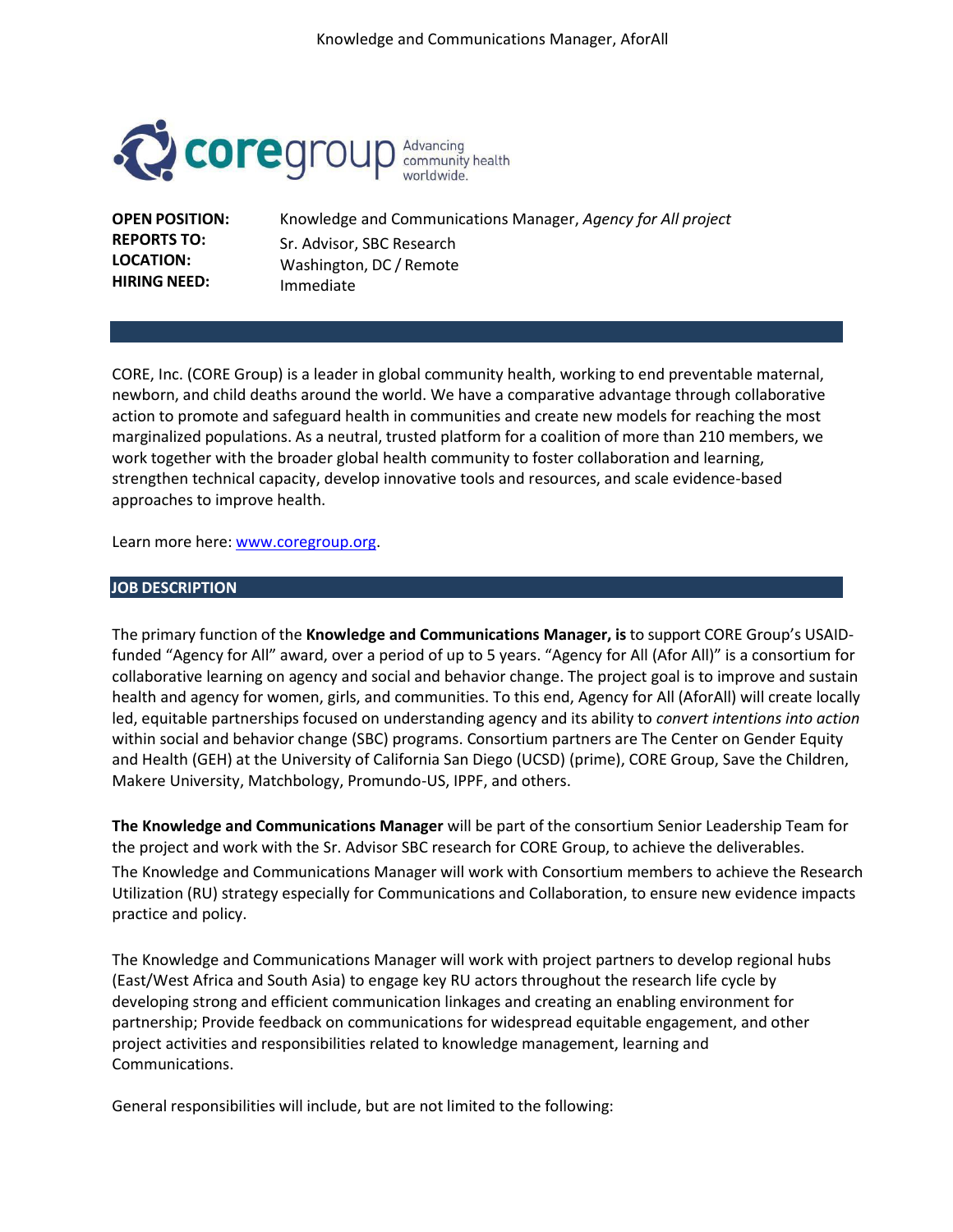

**OPEN POSITION: REPORTS TO: LOCATION: HIRING NEED:** 

Knowledge and Communications Manager, *Agency for All project* Sr. Advisor, SBC Research Washington, DC / Remote Immediate

CORE, Inc. (CORE Group) is a leader in global community health, working to end preventable maternal, newborn, and child deaths around the world. We have a comparative advantage through collaborative action to promote and safeguard health in communities and create new models for reaching the most marginalized populations. As a neutral, trusted platform for a coalition of more than 210 members, we work together with the broader global health community to foster collaboration and learning, strengthen technical capacity, develop innovative tools and resources, and scale evidence-based approaches to improve health.

Learn more here[: www.coregroup.org.](http://www.coregroup.org/) 

#### **JOB DESCRIPTION**

The primary function of the **Knowledge and Communications Manager, is** to support CORE Group's USAIDfunded "Agency for All" award, over a period of up to 5 years. "Agency for All (Afor All)" is a consortium for collaborative learning on agency and social and behavior change. The project goal is to improve and sustain health and agency for women, girls, and communities. To this end, Agency for All (AforAll) will create locally led, equitable partnerships focused on understanding agency and its ability to *convert intentions into action*  within social and behavior change (SBC) programs. Consortium partners are The Center on Gender Equity and Health (GEH) at the University of California San Diego (UCSD) (prime), CORE Group, Save the Children, Makere University, Matchbology, Promundo-US, IPPF, and others.

**The Knowledge and Communications Manager** will be part of the consortium Senior Leadership Team for the project and work with the Sr. Advisor SBC research for CORE Group, to achieve the deliverables.

The Knowledge and Communications Manager will work with Consortium members to achieve the Research Utilization (RU) strategy especially for Communications and Collaboration, to ensure new evidence impacts practice and policy.

The Knowledge and Communications Manager will work with project partners to develop regional hubs (East/West Africa and South Asia) to engage key RU actors throughout the research life cycle by developing strong and efficient communication linkages and creating an enabling environment for partnership; Provide feedback on communications for widespread equitable engagement, and other project activities and responsibilities related to knowledge management, learning and Communications.

General responsibilities will include, but are not limited to the following: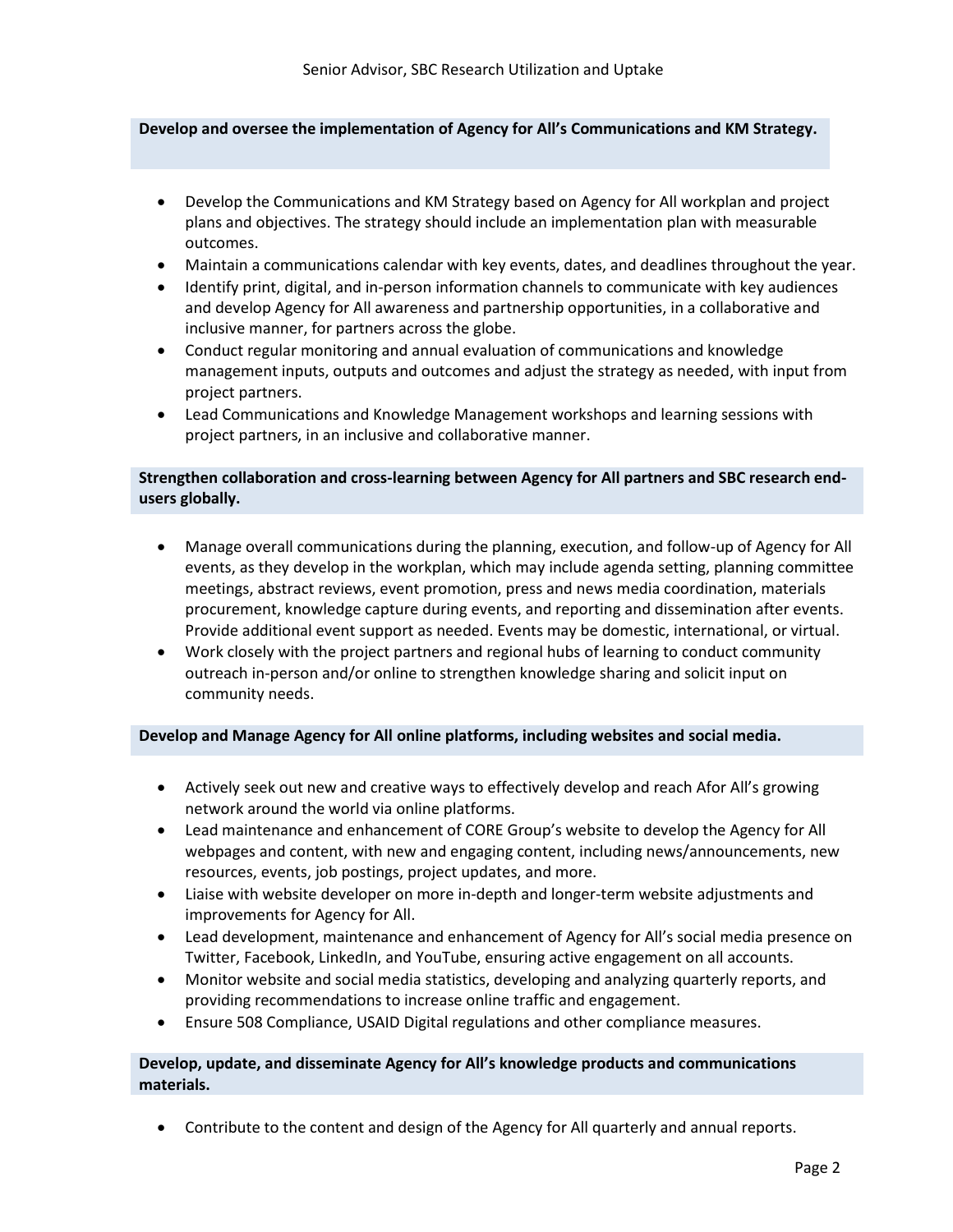### **Develop and oversee the implementation of Agency for All's Communications and KM Strategy.**

- Develop the Communications and KM Strategy based on Agency for All workplan and project plans and objectives. The strategy should include an implementation plan with measurable outcomes.
- Maintain a communications calendar with key events, dates, and deadlines throughout the year.
- Identify print, digital, and in-person information channels to communicate with key audiences and develop Agency for All awareness and partnership opportunities, in a collaborative and inclusive manner, for partners across the globe.
- Conduct regular monitoring and annual evaluation of communications and knowledge management inputs, outputs and outcomes and adjust the strategy as needed, with input from project partners.
- Lead Communications and Knowledge Management workshops and learning sessions with project partners, in an inclusive and collaborative manner.

# **Strengthen collaboration and cross-learning between Agency for All partners and SBC research endusers globally.**

- Manage overall communications during the planning, execution, and follow-up of Agency for All events, as they develop in the workplan, which may include agenda setting, planning committee meetings, abstract reviews, event promotion, press and news media coordination, materials procurement, knowledge capture during events, and reporting and dissemination after events. Provide additional event support as needed. Events may be domestic, international, or virtual.
- Work closely with the project partners and regional hubs of learning to conduct community outreach in-person and/or online to strengthen knowledge sharing and solicit input on community needs.

# **Develop and Manage Agency for All online platforms, including websites and social media.**

- Actively seek out new and creative ways to effectively develop and reach Afor All's growing network around the world via online platforms.
- Lead maintenance and enhancement of CORE Group's website to develop the Agency for All webpages and content, with new and engaging content, including news/announcements, new resources, events, job postings, project updates, and more.
- Liaise with website developer on more in-depth and longer-term website adjustments and improvements for Agency for All.
- Lead development, maintenance and enhancement of Agency for All's social media presence on Twitter, Facebook, LinkedIn, and YouTube, ensuring active engagement on all accounts.
- Monitor website and social media statistics, developing and analyzing quarterly reports, and providing recommendations to increase online traffic and engagement.
- Ensure 508 Compliance, USAID Digital regulations and other compliance measures.

### **Develop, update, and disseminate Agency for All's knowledge products and communications materials.**

Contribute to the content and design of the Agency for All quarterly and annual reports.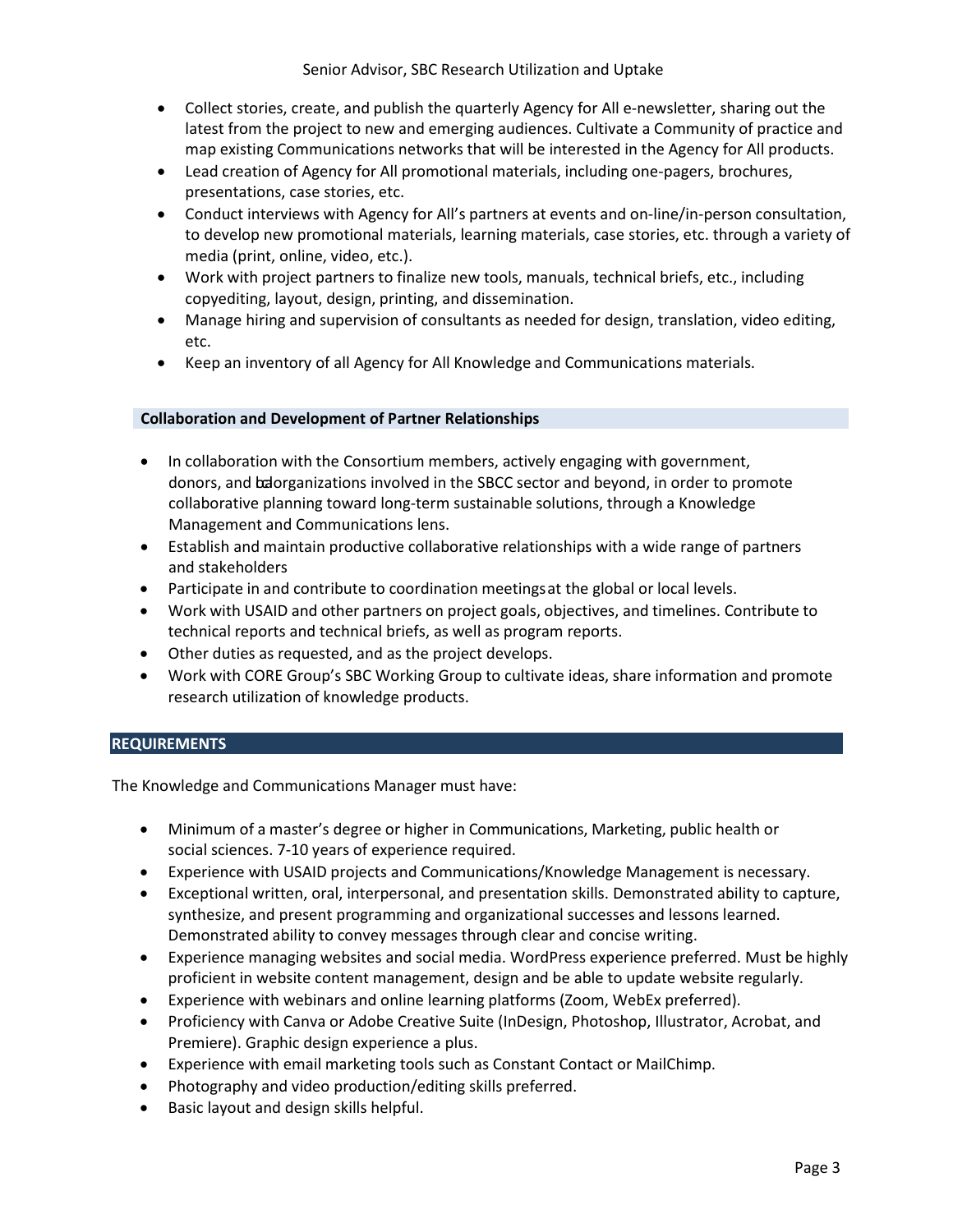- Collect stories, create, and publish the quarterly Agency for All e-newsletter, sharing out the latest from the project to new and emerging audiences. Cultivate a Community of practice and map existing Communications networks that will be interested in the Agency for All products.
- Lead creation of Agency for All promotional materials, including one-pagers, brochures, presentations, case stories, etc.
- Conduct interviews with Agency for All's partners at events and on-line/in-person consultation, to develop new promotional materials, learning materials, case stories, etc. through a variety of media (print, online, video, etc.).
- Work with project partners to finalize new tools, manuals, technical briefs, etc., including copyediting, layout, design, printing, and dissemination.
- Manage hiring and supervision of consultants as needed for design, translation, video editing, etc.
- Keep an inventory of all Agency for All Knowledge and Communications materials.

# **Collaboration and Development of Partner Relationships**

- In collaboration with the Consortium members, actively engaging with government, donors, and balorganizations involved in the SBCC sector and beyond, in order to promote collaborative planning toward long-term sustainable solutions, through a Knowledge Management and Communications lens.
- Establish and maintain productive collaborative relationships with a wide range of partners and stakeholders
- Participate in and contribute to coordination meetings at the global or local levels.
- Work with USAID and other partners on project goals, objectives, and timelines. Contribute to technical reports and technical briefs, as well as program reports.
- Other duties as requested, and as the project develops.
- Work with CORE Group's SBC Working Group to cultivate ideas, share information and promote research utilization of knowledge products.

# **REQUIREMENTS**

The Knowledge and Communications Manager must have:

- Minimum of a master's degree or higher in Communications, Marketing, public health or social sciences. 7-10 years of experience required.
- Experience with USAID projects and Communications/Knowledge Management is necessary.
- Exceptional written, oral, interpersonal, and presentation skills. Demonstrated ability to capture, synthesize, and present programming and organizational successes and lessons learned. Demonstrated ability to convey messages through clear and concise writing.
- Experience managing websites and social media. WordPress experience preferred. Must be highly proficient in website content management, design and be able to update website regularly.
- Experience with webinars and online learning platforms (Zoom, WebEx preferred).
- Proficiency with Canva or Adobe Creative Suite (InDesign, Photoshop, Illustrator, Acrobat, and Premiere). Graphic design experience a plus.
- Experience with email marketing tools such as Constant Contact or MailChimp.
- Photography and video production/editing skills preferred.
- Basic layout and design skills helpful.